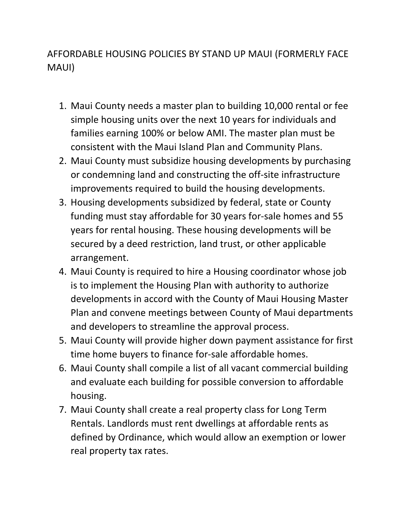## AFFORDABLE HOUSING POLICIES BY STAND UP MAUI (FORMERLY FACE MAUI)

- 1. Maui County needs a master plan to building 10,000 rental or fee simple housing units over the next 10 years for individuals and families earning 100% or below AMI. The master plan must be consistent with the Maui Island Plan and Community Plans.
- 2. Maui County must subsidize housing developments by purchasing or condemning land and constructing the off-site infrastructure improvements required to build the housing developments.
- 3. Housing developments subsidized by federal, state or County funding must stay affordable for 30 years for-sale homes and 55 years for rental housing. These housing developments will be secured by a deed restriction, land trust, or other applicable arrangement.
- 4. Maui County is required to hire a Housing coordinator whose job is to implement the Housing Plan with authority to authorize developments in accord with the County of Maui Housing Master Plan and convene meetings between County of Maui departments and developers to streamline the approval process.
- 5. Maui County will provide higher down payment assistance for first time home buyers to finance for-sale affordable homes.
- 6. Maui County shall compile a list of all vacant commercial building and evaluate each building for possible conversion to affordable housing.
- 7. Maui County shall create a real property class for Long Term Rentals. Landlords must rent dwellings at affordable rents as defined by Ordinance, which would allow an exemption or lower real property tax rates.